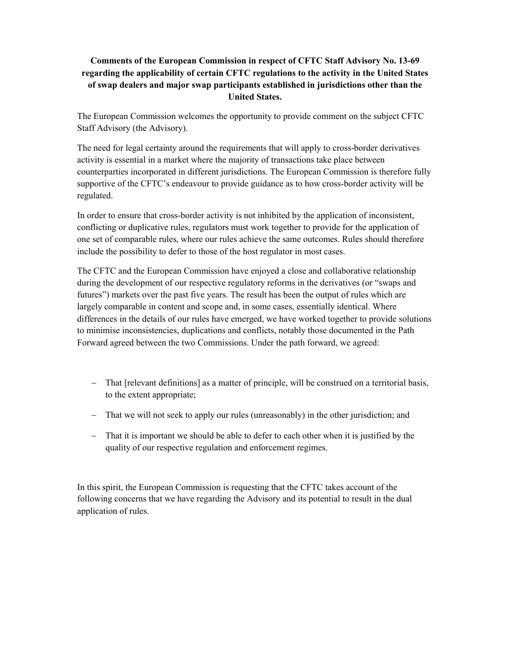## **Comments of the European Commission in respect of CFTC Staff Advisory No. 13-69 regarding the applicability of certain CFTC regulations to the activity in the United States of swap dealers and major swap participants established in jurisdictions other than the United States.**

The European Commission welcomes the opportunity to provide comment on the subject CFTC Staff Advisory (the Advisory).

The need for legal certainty around the requirements that will apply to cross-border derivatives activity is essential in a market where the majority of transactions take place between counterparties incorporated in different jurisdictions. The European Commission is therefore fully supportive of the CFTC's endeavour to provide guidance as to how cross-border activity will be regulated.

In order to ensure that cross-border activity is not inhibited by the application of inconsistent, conflicting or duplicative rules, regulators must work together to provide for the application of one set of comparable rules, where our rules achieve the same outcomes. Rules should therefore include the possibility to defer to those of the host regulator in most cases.

The CFTC and the European Commission have enjoyed a close and collaborative relationship during the development of our respective regulatory reforms in the derivatives (or "swaps and futures") markets over the past five years. The result has been the output of rules which are largely comparable in content and scope and, in some cases, essentially identical. Where differences in the details of our rules have emerged, we have worked together to provide solutions to minimise inconsistencies, duplications and conflicts, notably those documented in the Path Forward agreed between the two Commissions. Under the path forward, we agreed:

- That [relevant definitions] as a matter of principle, will be construed on a territorial basis, to the extent appropriate;
- That we will not seek to apply our rules (unreasonably) in the other jurisdiction; and
- That it is important we should be able to defer to each other when it is justified by the quality of our respective regulation and enforcement regimes.

In this spirit, the European Commission is requesting that the CFTC takes account of the following concerns that we have regarding the Advisory and its potential to result in the dual application of rules.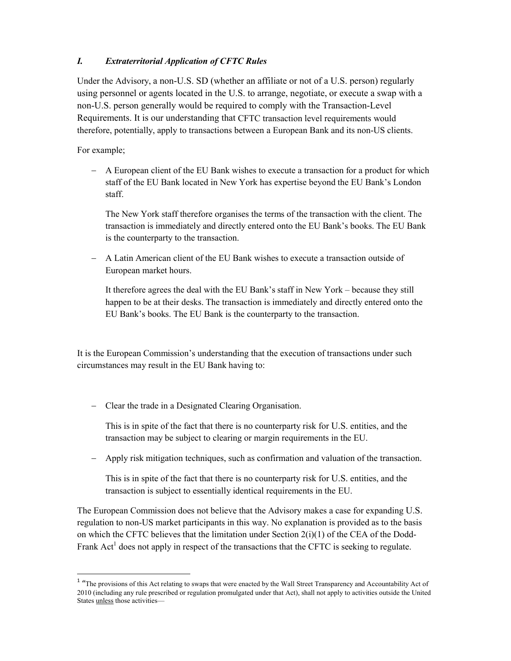## *I. Extraterritorial Application of CFTC Rules*

Under the Advisory, a non-U.S. SD (whether an affiliate or not of a U.S. person) regularly using personnel or agents located in the U.S. to arrange, negotiate, or execute a swap with a non-U.S. person generally would be required to comply with the Transaction-Level Requirements. It is our understanding that CFTC transaction level requirements would therefore, potentially, apply to transactions between a European Bank and its non-US clients.

For example;

 $\overline{a}$ 

 A European client of the EU Bank wishes to execute a transaction for a product for which staff of the EU Bank located in New York has expertise beyond the EU Bank's London staff.

The New York staff therefore organises the terms of the transaction with the client. The transaction is immediately and directly entered onto the EU Bank's books. The EU Bank is the counterparty to the transaction.

 A Latin American client of the EU Bank wishes to execute a transaction outside of European market hours.

It therefore agrees the deal with the EU Bank's staff in New York – because they still happen to be at their desks. The transaction is immediately and directly entered onto the EU Bank's books. The EU Bank is the counterparty to the transaction.

It is the European Commission's understanding that the execution of transactions under such circumstances may result in the EU Bank having to:

Clear the trade in a Designated Clearing Organisation.

This is in spite of the fact that there is no counterparty risk for U.S. entities, and the transaction may be subject to clearing or margin requirements in the EU.

Apply risk mitigation techniques, such as confirmation and valuation of the transaction.

This is in spite of the fact that there is no counterparty risk for U.S. entities, and the transaction is subject to essentially identical requirements in the EU.

The European Commission does not believe that the Advisory makes a case for expanding U.S. regulation to non-US market participants in this way. No explanation is provided as to the basis on which the CFTC believes that the limitation under Section  $2(i)(1)$  of the CEA of the Dodd-Frank  $Act<sup>1</sup>$  does not apply in respect of the transactions that the CFTC is seeking to regulate.

<sup>&</sup>lt;sup>1</sup> "The provisions of this Act relating to swaps that were enacted by the Wall Street Transparency and Accountability Act of 2010 (including any rule prescribed or regulation promulgated under that Act), shall not apply to activities outside the United States unless those activities—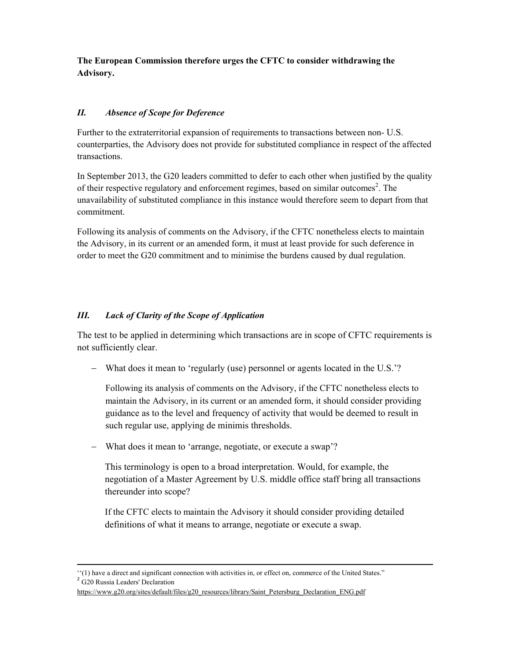**The European Commission therefore urges the CFTC to consider withdrawing the Advisory.**

## *II. Absence of Scope for Deference*

Further to the extraterritorial expansion of requirements to transactions between non- U.S. counterparties, the Advisory does not provide for substituted compliance in respect of the affected transactions.

In September 2013, the G20 leaders committed to defer to each other when justified by the quality of their respective regulatory and enforcement regimes, based on similar outcomes<sup>2</sup>. The unavailability of substituted compliance in this instance would therefore seem to depart from that commitment.

Following its analysis of comments on the Advisory, if the CFTC nonetheless elects to maintain the Advisory, in its current or an amended form, it must at least provide for such deference in order to meet the G20 commitment and to minimise the burdens caused by dual regulation.

## *III. Lack of Clarity of the Scope of Application*

The test to be applied in determining which transactions are in scope of CFTC requirements is not sufficiently clear.

What does it mean to 'regularly (use) personnel or agents located in the U.S.'?

Following its analysis of comments on the Advisory, if the CFTC nonetheless elects to maintain the Advisory, in its current or an amended form, it should consider providing guidance as to the level and frequency of activity that would be deemed to result in such regular use, applying de minimis thresholds.

What does it mean to 'arrange, negotiate, or execute a swap'?

This terminology is open to a broad interpretation. Would, for example, the negotiation of a Master Agreement by U.S. middle office staff bring all transactions thereunder into scope?

If the CFTC elects to maintain the Advisory it should consider providing detailed definitions of what it means to arrange, negotiate or execute a swap.

<sup>2</sup> G<sub>20</sub> Russia Leaders' Declaration

1

<sup>&#</sup>x27;'(1) have a direct and significant connection with activities in, or effect on, commerce of the United States."

https://www.g20.org/sites/default/files/g20\_resources/library/Saint\_Petersburg\_Declaration\_ENG.pdf